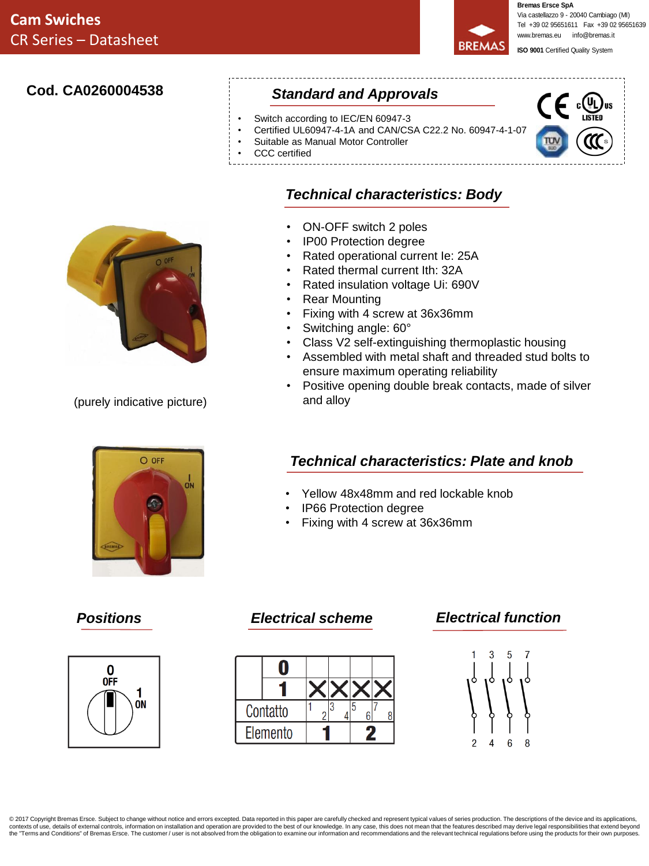**Bremas Ersce SpA BREMAS** 

Via castellazzo 9 - 20040 Cambiago (MI) Tel +39 02 95651611 Fax +39 02 95651639 www.bremas.eu info@bremas.it

**ISO 9001** Certified Quality System

## **Cod. CA0260004538**

## *Standard and Approvals*

• ON-OFF switch 2 poles • IP00 Protection degree

• Rear Mounting

and alloy

• Switching angle: 60°

- Switch according to IEC/EN 60947-3
- Certified UL60947-4-1A and CAN/CSA C22.2 No. 60947-4-1-07

*Technical characteristics: Body*

• Rated operational current Ie: 25A • Rated thermal current Ith: 32A • Rated insulation voltage Ui: 690V

• Fixing with 4 screw at 36x36mm

- Suitable as Manual Motor Controller
- CCC certified





(purely indicative picture)

# $O$  OFF ON

# *Technical characteristics: Plate and knob*

• Positive opening double break contacts, made of silver

• Class V2 self-extinguishing thermoplastic housing • Assembled with metal shaft and threaded stud bolts to

• Yellow 48x48mm and red lockable knob

ensure maximum operating reliability

- IP66 Protection degree
- Fixing with 4 screw at 36x36mm





## *Positions Electrical scheme Electrical function*



@ 2017 Copyright Bremas Ersce. Subject to change without notice and errors excepted. Data reported in this paper are carefully checked and represent typical values of series production. The descriptions of the device and i contexts of use, details of external controls, information on installation and operation are provided to the best of our knowledge. In any case, this does not mean that the features described may derive legal responsibilit the "Terms and Conditions" of Bremas Ersce. The customer / user is not absolved from the obligation to examine our information and recommendations and the relevant technical regulations before using the products for their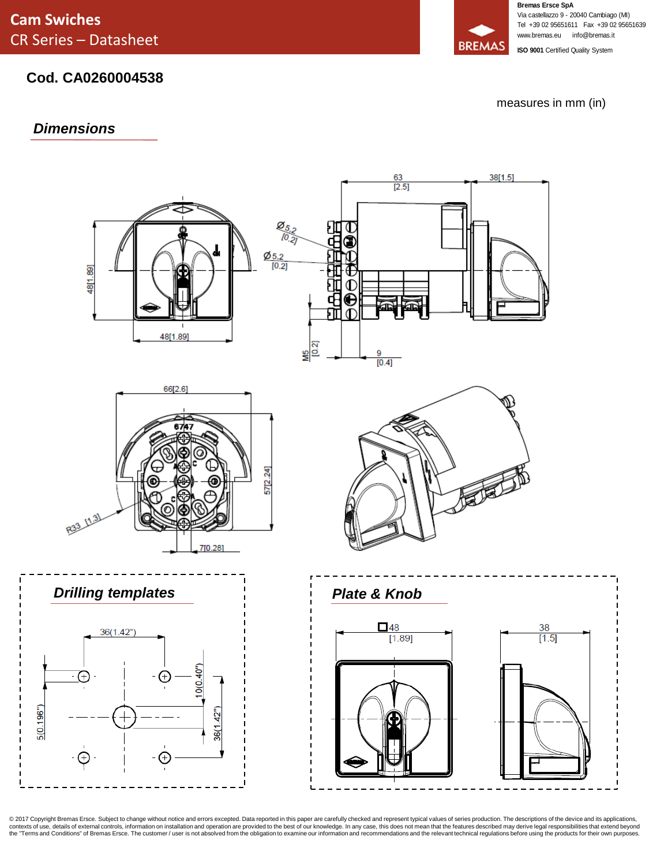# **Cod. CA0260004538**

measures in mm (in)

### *Dimensions*



© 2017 Copyright Bremas Ersce. Subject to change without notice and errors excepted. Data reported in this paper are carefully checked and represent typical values of series production. The descriptions of the device and i

**Bremas Ersce SpA** Via castellazzo 9 - 20040 Cambiago (MI) Tel +39 02 95651611 Fax +39 02 95651639 www.bremas.eu info@bremas.it

**ISO 9001** Certified Quality System

**BREMAS**